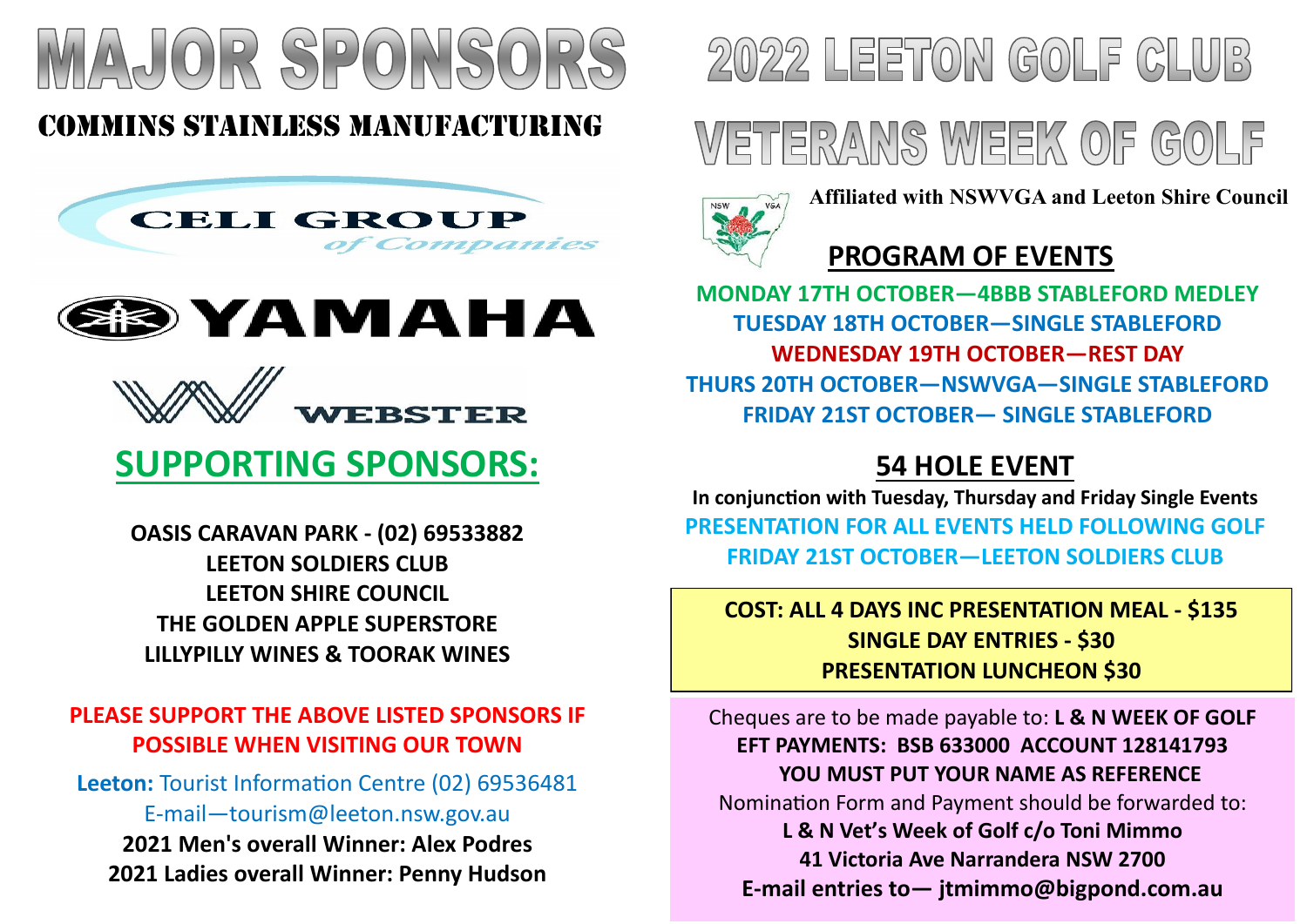

# COMMINS STAINLESS MANUFACTURING







# **SUPPORTING SPONSORS:**

**OASIS CARAVAN PARK - (02) 69533882 LEETON SOLDIERS CLUB LEETON SHIRE COUNCIL THE GOLDEN APPLE SUPERSTORE LILLYPILLY WINES & TOORAK WINES**

## **PLEASE SUPPORT THE ABOVE LISTED SPONSORS IF POSSIBLE WHEN VISITING OUR TOWN**

Leeton: Tourist Information Centre (02) 69536481 E-mail—tourism@leeton.nsw.gov.au **2021 Men's overall Winner: Alex Podres 2021 Ladies overall Winner: Penny Hudson**



# **WETTERANS WEEK OF GOLF**



**Affiliated with NSWVGA and Leeton Shire Council**

# **PROGRAM OF EVENTS**

**MONDAY 17TH OCTOBER—4BBB STABLEFORD MEDLEY TUESDAY 18TH OCTOBER—SINGLE STABLEFORD WEDNESDAY 19TH OCTOBER—REST DAY THURS 20TH OCTOBER—NSWVGA—SINGLE STABLEFORD FRIDAY 21ST OCTOBER— SINGLE STABLEFORD**

# **54 HOLE EVENT**

**In conjunction with Tuesday, Thursday and Friday Single Events PRESENTATION FOR ALL EVENTS HELD FOLLOWING GOLF FRIDAY 21ST OCTOBER—LEETON SOLDIERS CLUB** 

## **COST: ALL 4 DAYS INC PRESENTATION MEAL - \$135 SINGLE DAY ENTRIES - \$30 PRESENTATION LUNCHEON \$30**

Cheques are to be made payable to: **L & N WEEK OF GOLF EFT PAYMENTS: BSB 633000 ACCOUNT 128141793 YOU MUST PUT YOUR NAME AS REFERENCE** Nomination Form and Payment should be forwarded to: **L & N Vet's Week of Golf c/o Toni Mimmo 41 Victoria Ave Narrandera NSW 2700 E-mail entries to— jtmimmo@bigpond.com.au**